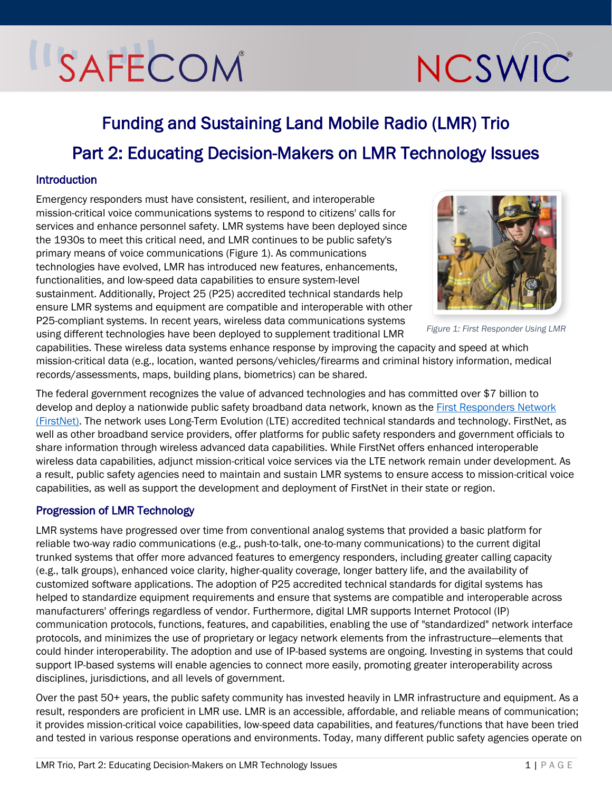# SAFECOM

# NCSWIC

# Funding and Sustaining Land Mobile Radio (LMR) Trio Part 2: Educating Decision-Makers on LMR Technology Issues

# Introduction

Emergency responders must have consistent, resilient, and interoperable mission-critical voice communications systems to respond to citizens' calls for services and enhance personnel safety. LMR systems have been deployed since the 1930s to meet this critical need, and LMR continues to be public safety's primary means of voice communications [\(Figure 1\)](#page-0-0). As communications technologies have evolved, LMR has introduced new features, enhancements, functionalities, and low-speed data capabilities to ensure system-level sustainment. Additionally, Project 25 (P25) accredited technical standards help ensure LMR systems and equipment are compatible and interoperable with other P25-compliant systems. In recent years, wireless data communications systems using different technologies have been deployed to supplement traditional LMR

<span id="page-0-0"></span>

*Figure 1: First Responder Using LMR*

capabilities. These wireless data systems enhance response by improving the capacity and speed at which mission-critical data (e.g., location, wanted persons/vehicles/firearms and criminal history information, medical records/assessments, maps, building plans, biometrics) can be shared.

The federal government recognizes the value of advanced technologies and has committed over \$7 billion to develop and deploy a nationwide public safety broadband data network, known as th[e First Responders Network](https://firstnet.gov/) [\(FirstNet\).](https://firstnet.gov/) The network uses Long-Term Evolution (LTE) accredited technical standards and technology. FirstNet, as well as other broadband service providers, offer platforms for public safety responders and government officials to share information through wireless advanced data capabilities. While FirstNet offers enhanced interoperable wireless data capabilities, adjunct mission-critical voice services via the LTE network remain under development. As a result, public safety agencies need to maintain and sustain LMR systems to ensure access to mission-critical voice capabilities, as well as support the development and deployment of FirstNet in their state or region.

# Progression of LMR Technology

LMR systems have progressed over time from conventional analog systems that provided a basic platform for reliable two-way radio communications (e.g., push-to-talk, one-to-many communications) to the current digital trunked systems that offer more advanced features to emergency responders, including greater calling capacity (e.g., talk groups), enhanced voice clarity, higher-quality coverage, longer battery life, and the availability of customized software applications. The adoption of P25 accredited technical standards for digital systems has helped to standardize equipment requirements and ensure that systems are compatible and interoperable across manufacturers' offerings regardless of vendor. Furthermore, digital LMR supports Internet Protocol (IP) communication protocols, functions, features, and capabilities, enabling the use of "standardized" network interface protocols, and minimizes the use of proprietary or legacy network elements from the infrastructure—elements that could hinder interoperability. The adoption and use of IP-based systems are ongoing. Investing in systems that could support IP-based systems will enable agencies to connect more easily, promoting greater interoperability across disciplines, jurisdictions, and all levels of government.

Over the past 50+ years, the public safety community has invested heavily in LMR infrastructure and equipment. As a result, responders are proficient in LMR use. LMR is an accessible, affordable, and reliable means of communication; it provides mission-critical voice capabilities, low-speed data capabilities, and features/functions that have been tried and tested in various response operations and environments. Today, many different public safety agencies operate on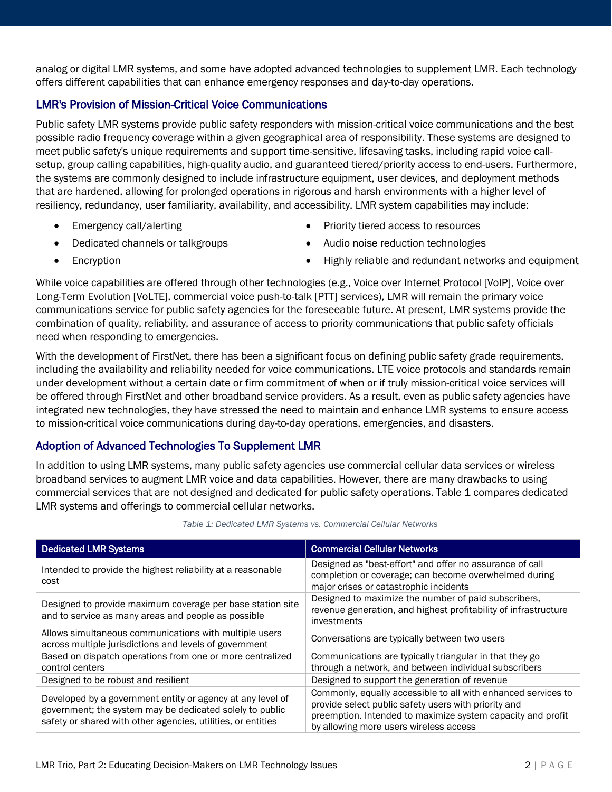analog or digital LMR systems, and some have adopted advanced technologies to supplement LMR. Each technology offers different capabilities that can enhance emergency responses and day-to-day operations.

# LMR's Provision of Mission-Critical Voice Communications

Public safety LMR systems provide public safety responders with mission-critical voice communications and the best possible radio frequency coverage within a given geographical area of responsibility. These systems are designed to meet public safety's unique requirements and support time-sensitive, lifesaving tasks, including rapid voice callsetup, group calling capabilities, high-quality audio, and guaranteed tiered/priority access to end-users. Furthermore, the systems are commonly designed to include infrastructure equipment, user devices, and deployment methods that are hardened, allowing for prolonged operations in rigorous and harsh environments with a higher level of resiliency, redundancy, user familiarity, availability, and accessibility. LMR system capabilities may include:

- Emergency call/alerting
- Dedicated channels or talkgroups
- Priority tiered access to resources
- Audio noise reduction technologies

• Encryption

• Highly reliable and redundant networks and equipment

While voice capabilities are offered through other technologies (e.g., Voice over Internet Protocol [VoIP], Voice over Long-Term Evolution [VoLTE], commercial voice push-to-talk [PTT] services), LMR will remain the primary voice communications service for public safety agencies for the foreseeable future. At present, LMR systems provide the combination of quality, reliability, and assurance of access to priority communications that public safety officials need when responding to emergencies.

With the development of FirstNet, there has been a significant focus on defining public safety grade requirements, including the availability and reliability needed for voice communications. LTE voice protocols and standards remain under development without a certain date or firm commitment of when or if truly mission-critical voice services will be offered through FirstNet and other broadband service providers. As a result, even as public safety agencies have integrated new technologies, they have stressed the need to maintain and enhance LMR systems to ensure access to mission-critical voice communications during day-to-day operations, emergencies, and disasters.

# Adoption of Advanced Technologies To Supplement LMR

In addition to using LMR systems, many public safety agencies use commercial cellular data services or wireless broadband services to augment LMR voice and data capabilities. However, there are many drawbacks to using commercial services that are not designed and dedicated for public safety operations. [Table 1](#page-1-0) compares dedicated LMR systems and offerings to commercial cellular networks.

<span id="page-1-0"></span>

| <b>Dedicated LMR Systems</b>                                                                                                                                                           | <b>Commercial Cellular Networks</b>                                                                                                                                                                                            |
|----------------------------------------------------------------------------------------------------------------------------------------------------------------------------------------|--------------------------------------------------------------------------------------------------------------------------------------------------------------------------------------------------------------------------------|
| Intended to provide the highest reliability at a reasonable<br>cost                                                                                                                    | Designed as "best-effort" and offer no assurance of call<br>completion or coverage; can become overwhelmed during<br>major crises or catastrophic incidents                                                                    |
| Designed to provide maximum coverage per base station site<br>and to service as many areas and people as possible                                                                      | Designed to maximize the number of paid subscribers,<br>revenue generation, and highest profitability of infrastructure<br>investments                                                                                         |
| Allows simultaneous communications with multiple users<br>across multiple jurisdictions and levels of government                                                                       | Conversations are typically between two users                                                                                                                                                                                  |
| Based on dispatch operations from one or more centralized<br>control centers                                                                                                           | Communications are typically triangular in that they go<br>through a network, and between individual subscribers                                                                                                               |
| Designed to be robust and resilient                                                                                                                                                    | Designed to support the generation of revenue                                                                                                                                                                                  |
| Developed by a government entity or agency at any level of<br>government; the system may be dedicated solely to public<br>safety or shared with other agencies, utilities, or entities | Commonly, equally accessible to all with enhanced services to<br>provide select public safety users with priority and<br>preemption. Intended to maximize system capacity and profit<br>by allowing more users wireless access |

#### *Table 1: Dedicated LMR Systems vs. Commercial Cellular Networks*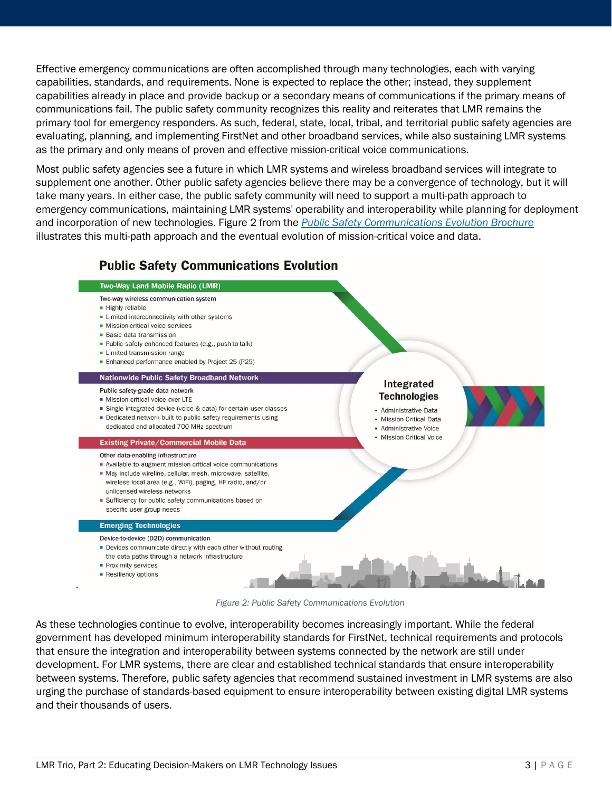Effective emergency communications are often accomplished through many technologies, each with varying capabilities, standards, and requirements. None is expected to replace the other; instead, they supplement capabilities already in place and provide backup or a secondary means of communications if the primary means of communications fail. The public safety community recognizes this reality and reiterates that LMR remains the primary tool for emergency responders. As such, federal, state, local, tribal, and territorial public safety agencies are evaluating, planning, and implementing FirstNet and other broadband services, while also sustaining LMR systems as the primary and only means of proven and effective mission-critical voice communications.

Most public safety agencies see a future in which LMR systems and wireless broadband services will integrate to supplement one another. Other public safety agencies believe there may be a convergence of technology, but it will take many years. In either case, the public safety community will need to support a multi-path approach to emergency communications, maintaining LMR systems' operability and interoperability while planning for deployment and incorporation of new technologies[. Figure 2](#page-2-0) from the *[Public Safety Communications Evolution Brochure](https://www.cisa.gov/safecom/technology)* illustrates this multi-path approach and the eventual evolution of mission-critical voice and data.

# **Public Safety Communications Evolution**



*Figure 2: Public Safety Communications Evolution* 

<span id="page-2-0"></span>As these technologies continue to evolve, interoperability becomes increasingly important. While the federal government has developed minimum interoperability standards for FirstNet, technical requirements and protocols that ensure the integration and interoperability between systems connected by the network are still under development. For LMR systems, there are clear and established technical standards that ensure interoperability between systems. Therefore, public safety agencies that recommend sustained investment in LMR systems are also urging the purchase of standards-based equipment to ensure interoperability between existing digital LMR systems and their thousands of users.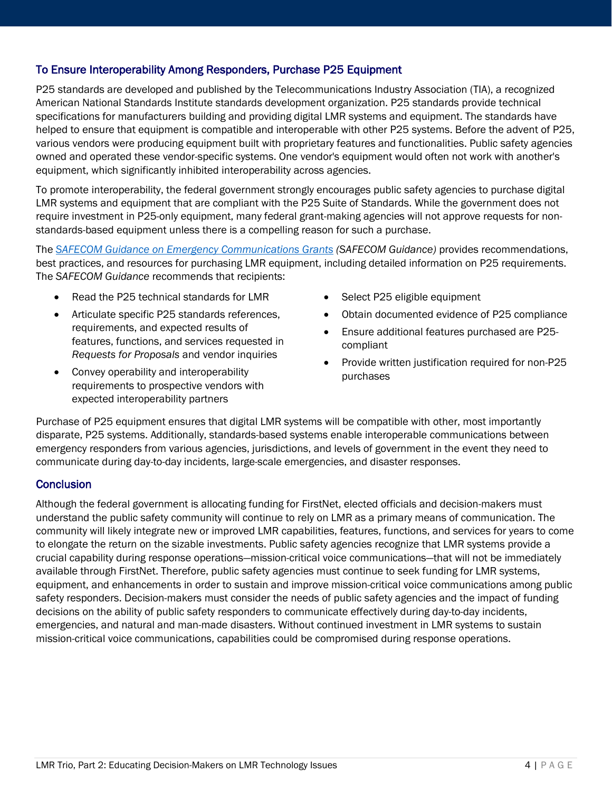# To Ensure Interoperability Among Responders, Purchase P25 Equipment

P25 standards are developed and published by the Telecommunications Industry Association (TIA), a recognized American National Standards Institute standards development organization. P25 standards provide technical specifications for manufacturers building and providing digital LMR systems and equipment. The standards have helped to ensure that equipment is compatible and interoperable with other P25 systems. Before the advent of P25, various vendors were producing equipment built with proprietary features and functionalities. Public safety agencies owned and operated these vendor-specific systems. One vendor's equipment would often not work with another's equipment, which significantly inhibited interoperability across agencies.

To promote interoperability, the federal government strongly encourages public safety agencies to purchase digital LMR systems and equipment that are compliant with the P25 Suite of Standards. While the government does not require investment in P25-only equipment, many federal grant-making agencies will not approve requests for nonstandards-based equipment unless there is a compelling reason for such a purchase.

The *[SAFECOM Guidance on Emergency Communications Grants](https://www.cisa.gov/safecom/funding) (SAFECOM Guidance)* provides recommendations, best practices, and resources for purchasing LMR equipment, including detailed information on P25 requirements. The *SAFECOM Guidance* recommends that recipients:

- Read the P25 technical standards for LMR
- Articulate specific P25 standards references, requirements, and expected results of features, functions, and services requested in *Requests for Proposals* and vendor inquiries
- Convey operability and interoperability requirements to prospective vendors with expected interoperability partners
- Select P25 eligible equipment
- Obtain documented evidence of P25 compliance
- Ensure additional features purchased are P25 compliant
- Provide written justification required for non-P25 purchases

Purchase of P25 equipment ensures that digital LMR systems will be compatible with other, most importantly disparate, P25 systems. Additionally, standards-based systems enable interoperable communications between emergency responders from various agencies, jurisdictions, and levels of government in the event they need to communicate during day-to-day incidents, large-scale emergencies, and disaster responses.

### **Conclusion**

Although the federal government is allocating funding for FirstNet, elected officials and decision-makers must understand the public safety community will continue to rely on LMR as a primary means of communication. The community will likely integrate new or improved LMR capabilities, features, functions, and services for years to come to elongate the return on the sizable investments. Public safety agencies recognize that LMR systems provide a crucial capability during response operations—mission-critical voice communications—that will not be immediately available through FirstNet. Therefore, public safety agencies must continue to seek funding for LMR systems, equipment, and enhancements in order to sustain and improve mission-critical voice communications among public safety responders. Decision-makers must consider the needs of public safety agencies and the impact of funding decisions on the ability of public safety responders to communicate effectively during day-to-day incidents, emergencies, and natural and man-made disasters. Without continued investment in LMR systems to sustain mission-critical voice communications, capabilities could be compromised during response operations.